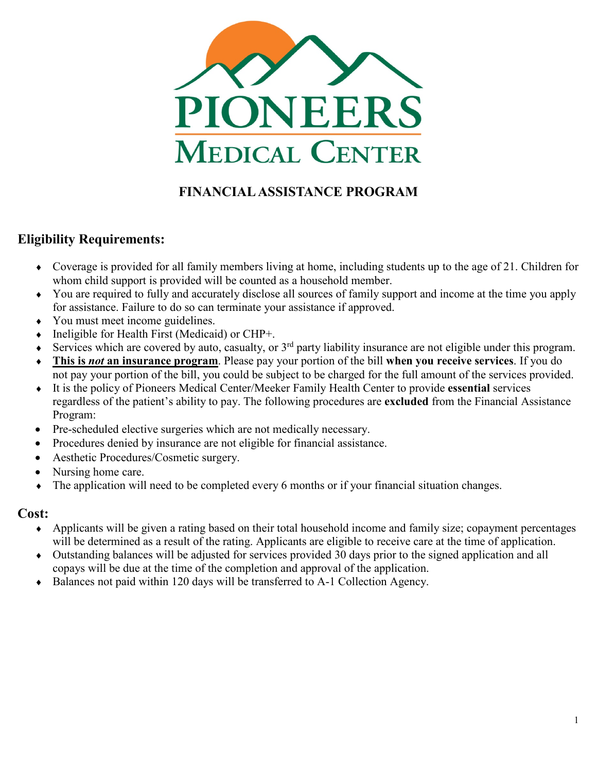

# **FINANCIAL ASSISTANCE PROGRAM**

## **Eligibility Requirements:**

- ♦ Coverage is provided for all family members living at home, including students up to the age of 21. Children for whom child support is provided will be counted as a household member.
- ♦ You are required to fully and accurately disclose all sources of family support and income at the time you apply for assistance. Failure to do so can terminate your assistance if approved.
- You must meet income guidelines.
- Ineligible for Health First (Medicaid) or CHP+.
- Services which are covered by auto, casualty, or  $3<sup>rd</sup>$  party liability insurance are not eligible under this program.
- ♦ **This is** *not* **an insurance program**. Please pay your portion of the bill **when you receive services**. If you do not pay your portion of the bill, you could be subject to be charged for the full amount of the services provided.
- ♦ It is the policy of Pioneers Medical Center/Meeker Family Health Center to provide **essential** services regardless of the patient's ability to pay. The following procedures are **excluded** from the Financial Assistance Program:
- Pre-scheduled elective surgeries which are not medically necessary.
- Procedures denied by insurance are not eligible for financial assistance.
- Aesthetic Procedures/Cosmetic surgery.
- Nursing home care.
- The application will need to be completed every 6 months or if your financial situation changes.

### **Cost:**

- ♦ Applicants will be given a rating based on their total household income and family size; copayment percentages will be determined as a result of the rating. Applicants are eligible to receive care at the time of application.
- ♦ Outstanding balances will be adjusted for services provided 30 days prior to the signed application and all copays will be due at the time of the completion and approval of the application.
- ♦ Balances not paid within 120 days will be transferred to A-1 Collection Agency.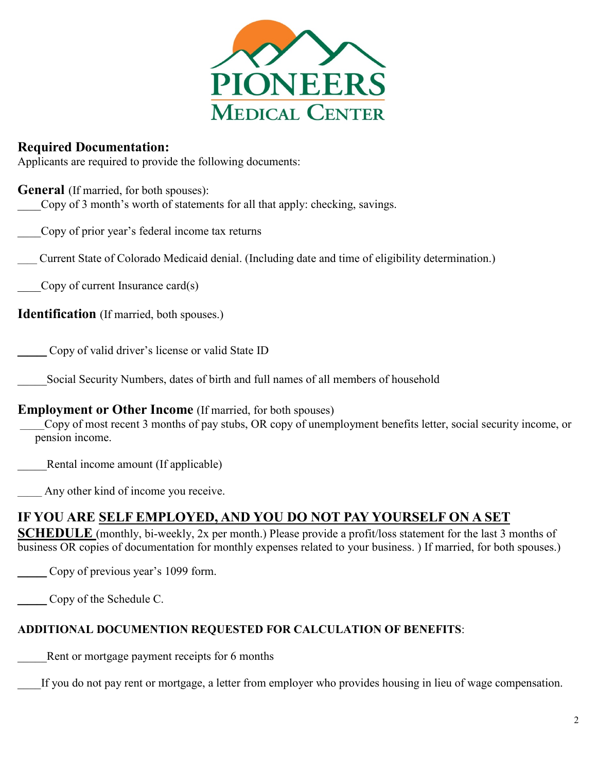

### **Required Documentation:**

Applicants are required to provide the following documents:

#### **General** (If married, for both spouses):

Copy of 3 month's worth of statements for all that apply: checking, savings.

\_\_\_\_Copy of prior year's federal income tax returns

\_\_\_\_ Current State of Colorado Medicaid denial. (Including date and time of eligibility determination.)

Copy of current Insurance card $(s)$ 

**Identification** (If married, both spouses.)

\_\_\_ Copy of valid driver's license or valid State ID

Social Security Numbers, dates of birth and full names of all members of household

#### **Employment or Other Income** (If married, for both spouses)

\_\_\_\_\_Copy of most recent 3 months of pay stubs, OR copy of unemployment benefits letter, social security income, or pension income.

Rental income amount (If applicable)

Any other kind of income you receive.

## **IF YOU ARE SELF EMPLOYED, AND YOU DO NOT PAY YOURSELF ON A SET**

**SCHEDULE** (monthly, bi-weekly, 2x per month.) Please provide a profit/loss statement for the last 3 months of business OR copies of documentation for monthly expenses related to your business. ) If married, for both spouses.)

Copy of previous year's 1099 form.

\_\_\_ Copy of the Schedule C.

#### **ADDITIONAL DOCUMENTION REQUESTED FOR CALCULATION OF BENEFITS**:

Rent or mortgage payment receipts for 6 months

If you do not pay rent or mortgage, a letter from employer who provides housing in lieu of wage compensation.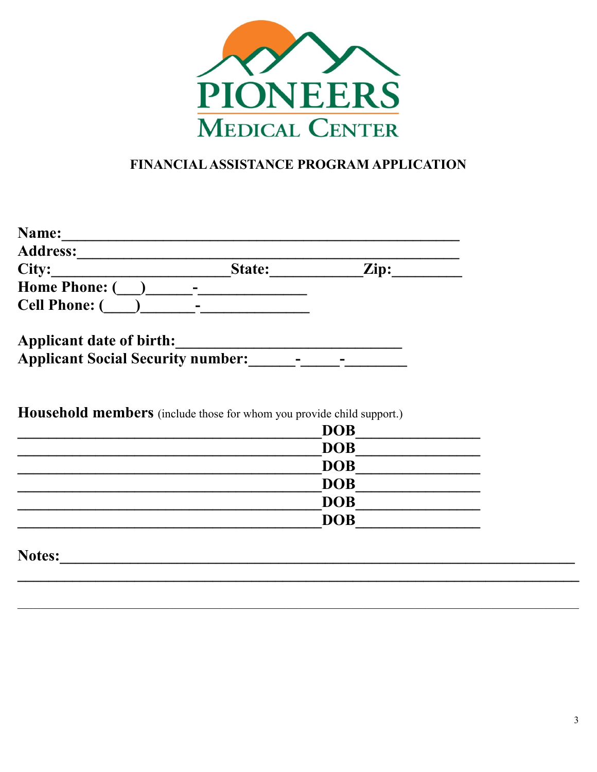

# FINANCIAL ASSISTANCE PROGRAM APPLICATION

| Name:<br><b>Address:</b>                                             |                          |                 |
|----------------------------------------------------------------------|--------------------------|-----------------|
| City:                                                                | State:                   | $\mathbf{Zip:}$ |
| <b>Home Phone:</b> (                                                 |                          |                 |
| <b>Cell Phone: (</b>                                                 | $\overline{\phantom{0}}$ |                 |
| Applicant date of birth:<br><b>Applicant Social Security number:</b> |                          |                 |

Household members (include those for whom you provide child support.)

| <b>DOB</b> |
|------------|
| <b>DOB</b> |
| <b>DOB</b> |
| <b>DOB</b> |
| <b>DOB</b> |
| <b>DOB</b> |